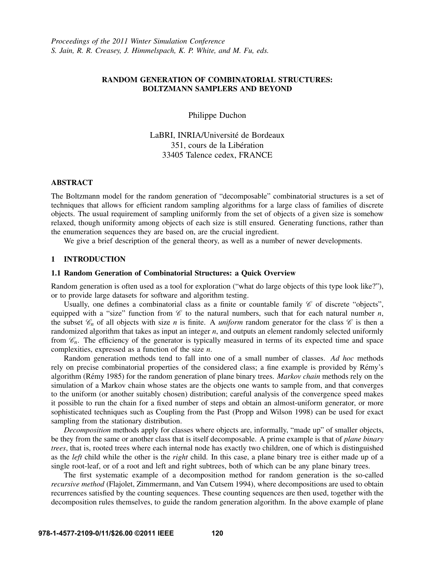# RANDOM GENERATION OF COMBINATORIAL STRUCTURES: BOLTZMANN SAMPLERS AND BEYOND

Philippe Duchon

LaBRI, INRIA/Université de Bordeaux 351, cours de la Libération 33405 Talence cedex, FRANCE

## ABSTRACT

The Boltzmann model for the random generation of "decomposable" combinatorial structures is a set of techniques that allows for efficient random sampling algorithms for a large class of families of discrete objects. The usual requirement of sampling uniformly from the set of objects of a given size is somehow relaxed, though uniformity among objects of each size is still ensured. Generating functions, rather than the enumeration sequences they are based on, are the crucial ingredient.

We give a brief description of the general theory, as well as a number of newer developments.

#### 1 INTRODUCTION

#### 1.1 Random Generation of Combinatorial Structures: a Quick Overview

Random generation is often used as a tool for exploration ("what do large objects of this type look like?"), or to provide large datasets for software and algorithm testing.

Usually, one defines a combinatorial class as a finite or countable family  $\mathscr C$  of discrete "objects", equipped with a "size" function from  $\mathscr C$  to the natural numbers, such that for each natural number *n*, the subset  $\mathcal{C}_n$  of all objects with size *n* is finite. A *uniform* random generator for the class  $\mathcal C$  is then a randomized algorithm that takes as input an integer *n*, and outputs an element randomly selected uniformly from  $\mathcal{C}_n$ . The efficiency of the generator is typically measured in terms of its expected time and space complexities, expressed as a function of the size *n*.

Random generation methods tend to fall into one of a small number of classes. *Ad hoc* methods rely on precise combinatorial properties of the considered class; a fine example is provided by Remy's ´ algorithm (Rémy 1985) for the random generation of plane binary trees. *Markov chain* methods rely on the simulation of a Markov chain whose states are the objects one wants to sample from, and that converges to the uniform (or another suitably chosen) distribution; careful analysis of the convergence speed makes it possible to run the chain for a fixed number of steps and obtain an almost-uniform generator, or more sophisticated techniques such as Coupling from the Past (Propp and Wilson 1998) can be used for exact sampling from the stationary distribution.

*Decomposition* methods apply for classes where objects are, informally, "made up" of smaller objects, be they from the same or another class that is itself decomposable. A prime example is that of *plane binary trees*, that is, rooted trees where each internal node has exactly two children, one of which is distinguished as the *left* child while the other is the *right* child. In this case, a plane binary tree is either made up of a single root-leaf, or of a root and left and right subtrees, both of which can be any plane binary trees.

The first systematic example of a decomposition method for random generation is the so-called *recursive method* (Flajolet, Zimmermann, and Van Cutsem 1994), where decompositions are used to obtain recurrences satisfied by the counting sequences. These counting sequences are then used, together with the decomposition rules themselves, to guide the random generation algorithm. In the above example of plane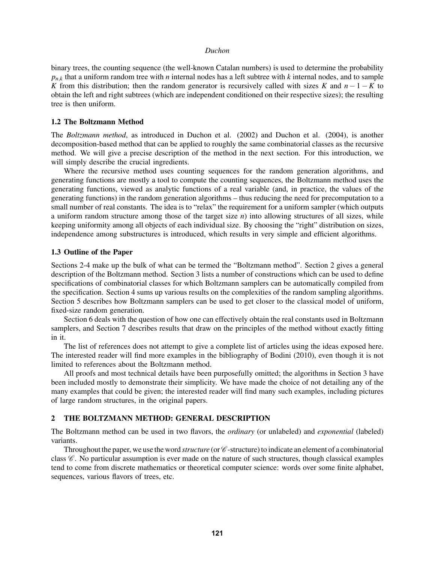binary trees, the counting sequence (the well-known Catalan numbers) is used to determine the probability  $p_{n,k}$  that a uniform random tree with *n* internal nodes has a left subtree with *k* internal nodes, and to sample *K* from this distribution; then the random generator is recursively called with sizes *K* and  $n-1-K$  to obtain the left and right subtrees (which are independent conditioned on their respective sizes); the resulting tree is then uniform.

### 1.2 The Boltzmann Method

The *Boltzmann method*, as introduced in Duchon et al. (2002) and Duchon et al. (2004), is another decomposition-based method that can be applied to roughly the same combinatorial classes as the recursive method. We will give a precise description of the method in the next section. For this introduction, we will simply describe the crucial ingredients.

Where the recursive method uses counting sequences for the random generation algorithms, and generating functions are mostly a tool to compute the counting sequences, the Boltzmann method uses the generating functions, viewed as analytic functions of a real variable (and, in practice, the values of the generating functions) in the random generation algorithms – thus reducing the need for precomputation to a small number of real constants. The idea is to "relax" the requirement for a uniform sampler (which outputs a uniform random structure among those of the target size *n*) into allowing structures of all sizes, while keeping uniformity among all objects of each individual size. By choosing the "right" distribution on sizes, independence among substructures is introduced, which results in very simple and efficient algorithms.

## 1.3 Outline of the Paper

Sections 2-4 make up the bulk of what can be termed the "Boltzmann method". Section 2 gives a general description of the Boltzmann method. Section 3 lists a number of constructions which can be used to define specifications of combinatorial classes for which Boltzmann samplers can be automatically compiled from the specification. Section 4 sums up various results on the complexities of the random sampling algorithms. Section 5 describes how Boltzmann samplers can be used to get closer to the classical model of uniform, fixed-size random generation.

Section 6 deals with the question of how one can effectively obtain the real constants used in Boltzmann samplers, and Section 7 describes results that draw on the principles of the method without exactly fitting in it.

The list of references does not attempt to give a complete list of articles using the ideas exposed here. The interested reader will find more examples in the bibliography of Bodini (2010), even though it is not limited to references about the Boltzmann method.

All proofs and most technical details have been purposefully omitted; the algorithms in Section 3 have been included mostly to demonstrate their simplicity. We have made the choice of not detailing any of the many examples that could be given; the interested reader will find many such examples, including pictures of large random structures, in the original papers.

# 2 THE BOLTZMANN METHOD: GENERAL DESCRIPTION

The Boltzmann method can be used in two flavors, the *ordinary* (or unlabeled) and *exponential* (labeled) variants.

Throughout the paper, we use the word *structure* (or  $\mathscr C$ -structure) to indicate an element of a combinatorial class  $\mathscr{C}$ . No particular assumption is ever made on the nature of such structures, though classical examples tend to come from discrete mathematics or theoretical computer science: words over some finite alphabet, sequences, various flavors of trees, etc.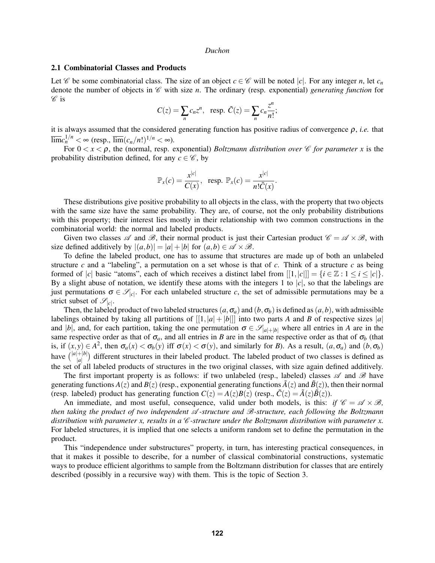#### 2.1 Combinatorial Classes and Products

Let C be some combinatorial class. The size of an object  $c \in C$  will be noted |*c*|. For any integer *n*, let  $c_n$ denote the number of objects in C with size *n*. The ordinary (resp. exponential) *generating function* for  $\mathscr{C}$  is

$$
C(z) = \sum_{n} c_n z^n, \text{ resp. } \tilde{C}(z) = \sum_{n} c_n \frac{z^n}{n!};
$$

it is always assumed that the considered generating function has positive radius of convergence  $\rho$ , *i.e.* that  $\overline{\lim}c_n^{1/n} < \infty$  (resp.,  $\overline{\lim}(c_n/n!)^{1/n} < \infty$ ).

For  $0 < x < \rho$ , the (normal, resp. exponential) *Boltzmann distribution over C* for parameter x is the probability distribution defined, for any  $c \in \mathscr{C}$ , by

$$
\mathbb{P}_x(c) = \frac{x^{|c|}}{C(x)}, \text{ resp. } \mathbb{P}_x(c) = \frac{x^{|c|}}{n!\tilde{C}(x)}.
$$

These distributions give positive probability to all objects in the class, with the property that two objects with the same size have the same probability. They are, of course, not the only probability distributions with this property; their interest lies mostly in their relationship with two common constructions in the combinatorial world: the normal and labeled products.

Given two classes  $\mathscr A$  and  $\mathscr B$ , their normal product is just their Cartesian product  $\mathscr C = \mathscr A \times \mathscr B$ , with size defined additively by  $|(a,b)| = |a| + |b|$  for  $(a,b) \in \mathcal{A} \times \mathcal{B}$ .

To define the labeled product, one has to assume that structures are made up of both an unlabeled structure *c* and a "labeling", a permutation on a set whose is that of *c*. Think of a structure *c* as being formed of  $|c|$  basic "atoms", each of which receives a distinct label from  $[[1,|c|]] = \{i \in \mathbb{Z} : 1 \le i \le |c|\}.$ By a slight abuse of notation, we identify these atoms with the integers 1 to  $|c|$ , so that the labelings are just permutations  $\sigma \in \mathscr{S}_{|c|}$ . For each unlabeled structure *c*, the set of admissible permutations may be a strict subset of  $\mathscr{S}_{|c|}$ .

Then, the labeled product of two labeled structures (*a*,  $\sigma_a$ ) and (*b*,  $\sigma_b$ ) is defined as (*a*,*b*), with admissible labelings obtained by taking all partitions of  $[[1, |a|+|b]]]$  into two parts *A* and *B* of respective sizes |a| and |b|, and, for each partition, taking the one permutation  $\sigma \in \mathcal{S}_{|a|+|b|}$  where all entries in *A* are in the same respective order as that of  $\sigma_a$ , and all entries in *B* are in the same respective order as that of  $\sigma_b$  (that is, if  $(x, y) \in A^2$ , then  $\sigma_a(x) < \sigma_b(y)$  iff  $\sigma(x) < \sigma(y)$ , and similarly for *B*). As a result,  $(a, \sigma_a)$  and  $(b, \sigma_b)$ have  $\binom{|a|+|b|}{|a|}$  different structures in their labeled product. The labeled product of two classes is defined as the set of all labeled products of structures in the two original classes, with size again defined additively.

The first important property is as follows: if two unlabeled (resp., labeled) classes  $\mathscr A$  and  $\mathscr B$  have generating functions  $A(z)$  and  $B(z)$  (resp., exponential generating functions  $\overline{A}(z)$  and  $\overline{B}(z)$ ), then their normal (resp. labeled) product has generating function  $C(z) = A(z)B(z)$  (resp.,  $\tilde{C}(z) = \tilde{A}(z)\tilde{B}(z)$ ).

An immediate, and most useful, consequence, valid under both models, is this: *if*  $\mathscr{C} = \mathscr{A} \times \mathscr{B}$ , *then taking the product of two independent* A *-structure and* B*-structure, each following the Boltzmann distribution with parameter x, results in a* C *-structure under the Boltzmann distribution with parameter x.* For labeled structures, it is implied that one selects a uniform random set to define the permutation in the product.

This "independence under substructures" property, in turn, has interesting practical consequences, in that it makes it possible to describe, for a number of classical combinatorial constructions, systematic ways to produce efficient algorithms to sample from the Boltzmann distribution for classes that are entirely described (possibly in a recursive way) with them. This is the topic of Section 3.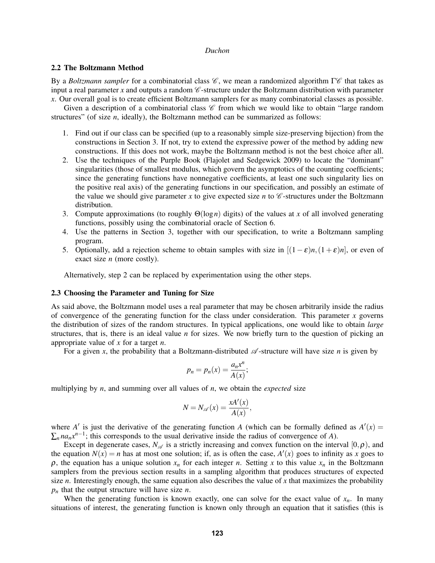### 2.2 The Boltzmann Method

By a *Boltzmann sampler* for a combinatorial class *C*, we mean a randomized algorithm Γ*C* that takes as input a real parameter *x* and outputs a random  $\mathscr C$ -structure under the Boltzmann distribution with parameter *x*. Our overall goal is to create efficient Boltzmann samplers for as many combinatorial classes as possible.

Given a description of a combinatorial class  $\mathscr C$  from which we would like to obtain "large random" structures" (of size *n*, ideally), the Boltzmann method can be summarized as follows:

- 1. Find out if our class can be specified (up to a reasonably simple size-preserving bijection) from the constructions in Section 3. If not, try to extend the expressive power of the method by adding new constructions. If this does not work, maybe the Boltzmann method is not the best choice after all.
- 2. Use the techniques of the Purple Book (Flajolet and Sedgewick 2009) to locate the "dominant" singularities (those of smallest modulus, which govern the asymptotics of the counting coefficients; since the generating functions have nonnegative coefficients, at least one such singularity lies on the positive real axis) of the generating functions in our specification, and possibly an estimate of the value we should give parameter *x* to give expected size *n* to  $\mathscr C$ -structures under the Boltzmann distribution.
- 3. Compute approximations (to roughly Θ(log*n*) digits) of the values at *x* of all involved generating functions, possibly using the combinatorial oracle of Section 6.
- 4. Use the patterns in Section 3, together with our specification, to write a Boltzmann sampling program.
- 5. Optionally, add a rejection scheme to obtain samples with size in  $[(1-\varepsilon)n,(1+\varepsilon)n]$ , or even of exact size *n* (more costly).

Alternatively, step 2 can be replaced by experimentation using the other steps.

# 2.3 Choosing the Parameter and Tuning for Size

As said above, the Boltzmann model uses a real parameter that may be chosen arbitrarily inside the radius of convergence of the generating function for the class under consideration. This parameter *x* governs the distribution of sizes of the random structures. In typical applications, one would like to obtain *large* structures, that is, there is an ideal value *n* for sizes. We now briefly turn to the question of picking an appropriate value of *x* for a target *n*.

For a given *x*, the probability that a Boltzmann-distributed  $\mathscr A$ -structure will have size *n* is given by

$$
p_n = p_n(x) = \frac{a_n x^n}{A(x)};
$$

multiplying by *n*, and summing over all values of *n*, we obtain the *expected* size

$$
N = N_{\mathscr{A}}(x) = \frac{xA'(x)}{A(x)},
$$

where *A'* is just the derivative of the generating function *A* (which can be formally defined as  $A'(x) =$  $\sum_{n}$  *na*<sub>n</sub> $x^{n-1}$ ; this corresponds to the usual derivative inside the radius of convergence of *A*).

Except in degenerate cases,  $N_{\mathscr{A}}$  is a strictly increasing and convex function on the interval [0, $\rho$ ), and the equation  $N(x) = n$  has at most one solution; if, as is often the case,  $A'(x)$  goes to infinity as *x* goes to  $\rho$ , the equation has a unique solution  $x_n$  for each integer *n*. Setting *x* to this value  $x_n$  in the Boltzmann samplers from the previous section results in a sampling algorithm that produces structures of expected size  $n$ . Interestingly enough, the same equation also describes the value of  $x$  that maximizes the probability *p<sup>n</sup>* that the output structure will have size *n*.

When the generating function is known exactly, one can solve for the exact value of  $x_n$ . In many situations of interest, the generating function is known only through an equation that it satisfies (this is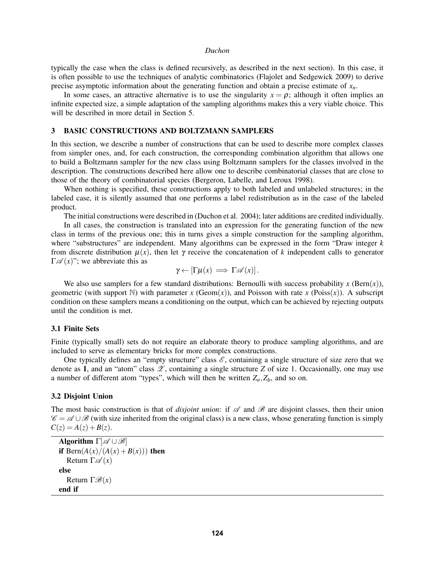typically the case when the class is defined recursively, as described in the next section). In this case, it is often possible to use the techniques of analytic combinatorics (Flajolet and Sedgewick 2009) to derive precise asymptotic information about the generating function and obtain a precise estimate of *xn*.

In some cases, an attractive alternative is to use the singularity  $x = \rho$ ; although it often implies an infinite expected size, a simple adaptation of the sampling algorithms makes this a very viable choice. This will be described in more detail in Section 5.

# 3 BASIC CONSTRUCTIONS AND BOLTZMANN SAMPLERS

In this section, we describe a number of constructions that can be used to describe more complex classes from simpler ones, and, for each construction, the corresponding combination algorithm that allows one to build a Boltzmann sampler for the new class using Boltzmann samplers for the classes involved in the description. The constructions described here allow one to describe combinatorial classes that are close to those of the theory of combinatorial species (Bergeron, Labelle, and Leroux 1998).

When nothing is specified, these constructions apply to both labeled and unlabeled structures; in the labeled case, it is silently assumed that one performs a label redistribution as in the case of the labeled product.

The initial constructions were described in (Duchon et al. 2004); later additions are credited individually.

In all cases, the construction is translated into an expression for the generating function of the new class in terms of the previous one; this in turns gives a simple construction for the sampling algorithm, where "substructures" are independent. Many algorithms can be expressed in the form "Draw integer *k* from discrete distribution  $\mu(x)$ , then let  $\gamma$  receive the concatenation of k independent calls to generator  $\Gamma \mathscr{A}(x)$ "; we abbreviate this as

$$
\gamma \leftarrow [\Gamma \mu(x) \implies \Gamma \mathscr{A}(x)].
$$

We also use samplers for a few standard distributions: Bernoulli with success probability  $x$  (Bern $(x)$ ), geometric (with support N) with parameter *x* (Geom(*x*)), and Poisson with rate *x* (Poiss(*x*)). A subscript condition on these samplers means a conditioning on the output, which can be achieved by rejecting outputs until the condition is met.

## 3.1 Finite Sets

Finite (typically small) sets do not require an elaborate theory to produce sampling algorithms, and are included to serve as elementary bricks for more complex constructions.

One typically defines an "empty structure" class  $\mathscr{E}$ , containing a single structure of size zero that we denote as 1, and an "atom" class  $\mathscr{Z}$ , containing a single structure *Z* of size 1. Occasionally, one may use a number of different atom "types", which will then be written  $Z_a$ ,  $Z_b$ , and so on.

## 3.2 Disjoint Union

The most basic construction is that of *disjoint union*: if  $\mathscr A$  and  $\mathscr B$  are disjoint classes, then their union  $\mathscr{C} = \mathscr{A} \cup \mathscr{B}$  (with size inherited from the original class) is a new class, whose generating function is simply  $C(z) = A(z) + B(z)$ .

Algorithm  $\Gamma[\mathscr{A}\cup\mathscr{B}]$ if  $\text{Bern}(A(x)/(A(x) + B(x)))$  then Return  $\Gamma \mathscr{A}(x)$ else Return  $Γ\mathcal{B}(x)$ end if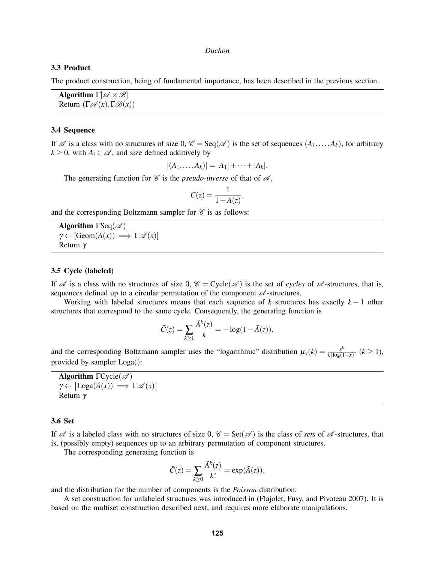# 3.3 Product

The product construction, being of fundamental importance, has been described in the previous section.

Algorithm  $\Gamma[\mathscr{A}\times\mathscr{B}]$ Return  $(\Gamma \mathscr{A}(x), \Gamma \mathscr{B}(x))$ 

# 3.4 Sequence

If  $\mathscr A$  is a class with no structures of size 0,  $\mathscr C = \text{Seq}(\mathscr A)$  is the set of sequences  $(A_1,\ldots,A_k)$ , for arbitrary  $k \geq 0$ , with  $A_i \in \mathcal{A}$ , and size defined additively by

$$
|(A_1,\ldots,A_k)| = |A_1| + \cdots + |A_k|.
$$

The generating function for  $\mathscr C$  is the *pseudo-inverse* of that of  $\mathscr A$ ,

$$
C(z) = \frac{1}{1 - A(z)},
$$

and the corresponding Boltzmann sampler for  $\mathscr C$  is as follows:

Algorithm  $\Gamma$ Seq( $\mathscr{A}$ )  $\gamma \leftarrow [\text{Geom}(A(x)) \implies \Gamma \mathscr{A}(x)]$ Return γ

# 3.5 Cycle (labeled)

If  $\mathscr A$  is a class with no structures of size 0,  $\mathscr C = \text{Cycle}(\mathscr A)$  is the set of *cycles* of  $\mathscr A$ -structures, that is, sequences defined up to a circular permutation of the component  $\mathscr A$ -structures.

Working with labeled structures means that each sequence of *k* structures has exactly *k* − 1 other structures that correspond to the same cycle. Consequently, the generating function is

$$
\tilde{C}(z) = \sum_{k \ge 1} \frac{\tilde{A}^k(z)}{k} = -\log(1 - \tilde{A}(z)),
$$

and the corresponding Boltzmann sampler uses the "logarithmic" distribution  $\mu_x(k) = \frac{x^k}{k \cdot \ln \alpha^k}$  $\frac{x^k}{k|\log(1-x)|}$  (*k* ≥ 1), provided by sampler Loga():

Algorithm  $\Gamma \text{Cycle}(\mathscr{A})$  $\gamma \leftarrow [\text{Loga}(\tilde{A}(x)) \implies \Gamma \mathscr{A}(x)]$ Return γ

# 3.6 Set

If  $\mathscr A$  is a labeled class with no structures of size 0,  $\mathscr C = \mathsf{Set}(\mathscr A)$  is the class of *sets* of  $\mathscr A$ -structures, that is, (possibly empty) sequences up to an arbitrary permutation of component structures.

The corresponding generating function is

$$
\tilde{C}(z) = \sum_{k\geq 0} \frac{\tilde{A}^k(z)}{k!} = \exp(\tilde{A}(z)),
$$

and the distribution for the number of components is the *Poisson* distribution:

A set construction for unlabeled structures was introduced in (Flajolet, Fusy, and Pivoteau 2007). It is based on the multiset construction described next, and requires more elaborate manipulations.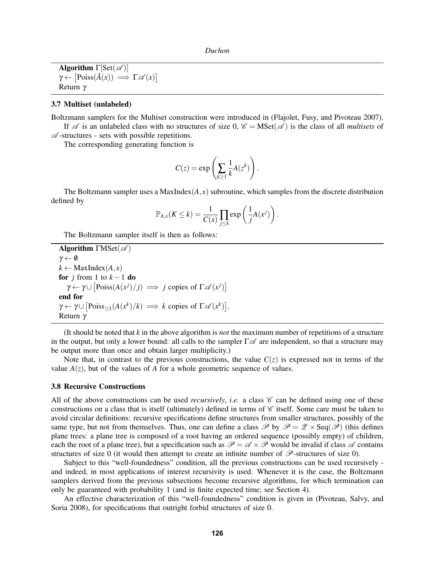Algorithm  $\Gamma[\text{Set}(\mathscr{A})]$  $\gamma \leftarrow [\text{Poiss}(\tilde{A}(x)) \implies \Gamma \mathscr{A}(x)]$ Return γ

#### 3.7 Multiset (unlabeled)

Boltzmann samplers for the Multiset construction were introduced in (Flajolet, Fusy, and Pivoteau 2007).

If  $\mathscr A$  is an unlabeled class with no structures of size 0,  $\mathscr C = \mathbf{MSet}(\mathscr A)$  is the class of all *multisets* of  $\mathscr A$ -structures - sets with possible repetitions.

The corresponding generating function is

$$
C(z) = \exp\left(\sum_{k\geq 1} \frac{1}{k} A(z^k)\right).
$$

The Boltzmann sampler uses a MaxIndex $(A, x)$  subroutine, which samples from the discrete distribution defined by

$$
\mathbb{P}_{A,x}(K \leq k) = \frac{1}{C(x)} \prod_{j \leq k} \exp\left(\frac{1}{j}A(x^{j})\right).
$$

The Boltzmann sampler itself is then as follows:

Algorithm  $\Gamma MSet(\mathscr{A})$  $\gamma \leftarrow \emptyset$  $k \leftarrow$  MaxIndex(*A*, *x*) for *j* from 1 to  $k-1$  do  $\gamma \leftarrow \gamma \cup [\text{Poiss}(A(x^j)/j) \implies j \text{ copies of } \Gamma \mathscr{A}(x^j)]$ end for  $\gamma \leftarrow \gamma \cup [\text{Poiss}_{\geq 1}(A(x^k)/k) \implies k \text{ copies of } \Gamma \mathscr{A}(x^k)].$ Return γ

(It should be noted that *k* in the above algorithm is *not* the maximum number of repetitions of a structure in the output, but only a lower bound: all calls to the sampler  $\Gamma \mathscr{A}$  are independent, so that a structure may be output more than once and obtain larger multiplicity.)

Note that, in contrast to the previous constructions, the value  $C(z)$  is expressed not in terms of the value  $A(z)$ , but of the values of *A* for a whole geometric sequence of values.

### 3.8 Recursive Constructions

All of the above constructions can be used *recursively*, *i.e.* a class  $\mathscr C$  can be defined using one of these constructions on a class that is itself (ultimately) defined in terms of  $\mathscr C$  itself. Some care must be taken to avoid circular definitions: recursive specifications define structures from smaller structures, possibly of the same type, but not from themselves. Thus, one can define a class  $\mathscr{P}$  by  $\mathscr{P} = \mathscr{Z} \times \text{Seq}(\mathscr{P})$  (this defines plane trees: a plane tree is composed of a root having an ordered sequence (possibly empty) of children, each the root of a plane tree), but a specification such as  $\mathscr{P} = \mathscr{A} \times \mathscr{P}$  would be invalid if class  $\mathscr{A}$  contains structures of size 0 (it would then attempt to create an infinite number of  $\mathscr P$ -structures of size 0).

Subject to this "well-foundedness" condition, all the previous constructions can be used recursively and indeed, in most applications of interest recursivity is used. Whenever it is the case, the Boltzmann samplers derived from the previous subsections become recursive algorithms, for which termination can only be guaranteed with probability 1 (and in finite expected time; see Section 4).

An effective characterization of this "well-foundedness" condition is given in (Pivoteau, Salvy, and Soria 2008), for specifications that outright forbid structures of size 0.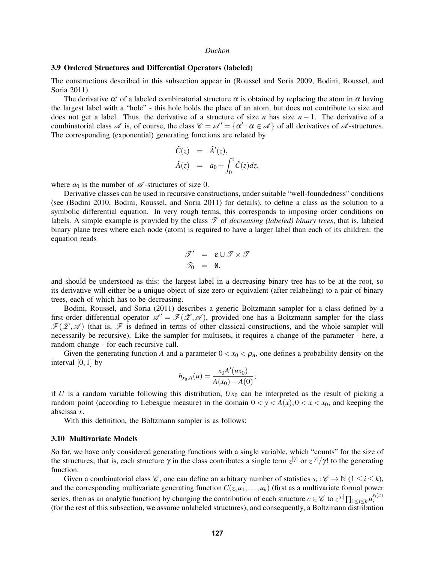#### 3.9 Ordered Structures and Differential Operators (labeled)

The constructions described in this subsection appear in (Roussel and Soria 2009, Bodini, Roussel, and Soria 2011).

The derivative  $\alpha'$  of a labeled combinatorial structure  $\alpha$  is obtained by replacing the atom in  $\alpha$  having the largest label with a "hole" - this hole holds the place of an atom, but does not contribute to size and does not get a label. Thus, the derivative of a structure of size *n* has size *n* − 1. The derivative of a combinatorial class  $\mathscr A$  is, of course, the class  $\mathscr C = \mathscr A' = {\alpha': \alpha \in \mathscr A}$  of all derivatives of  $\mathscr A$ -structures. The corresponding (exponential) generating functions are related by

$$
\begin{array}{rcl}\n\tilde{C}(z) & = & \tilde{A}'(z), \\
\tilde{A}(z) & = & a_0 + \int_0^z \tilde{C}(z) dz,\n\end{array}
$$

where  $a_0$  is the number of  $\mathscr A$ -structures of size 0.

Derivative classes can be used in recursive constructions, under suitable "well-foundedness" conditions (see (Bodini 2010, Bodini, Roussel, and Soria 2011) for details), to define a class as the solution to a symbolic differential equation. In very rough terms, this corresponds to imposing order conditions on labels. A simple example is provided by the class  $\mathscr T$  of *decreasing (labeled) binary trees*, that is, labeled binary plane trees where each node (atom) is required to have a larger label than each of its children: the equation reads

$$
\begin{array}{rcl}\n\mathcal{T}' & = & \varepsilon \cup \mathcal{T} \times \mathcal{T} \\
\mathcal{T}_0 & = & \mathbf{0}.\n\end{array}
$$

and should be understood as this: the largest label in a decreasing binary tree has to be at the root, so its derivative will either be a unique object of size zero or equivalent (after relabeling) to a pair of binary trees, each of which has to be decreasing.

Bodini, Roussel, and Soria (2011) describes a generic Boltzmann sampler for a class defined by a first-order differential operator  $\mathscr{A}' = \mathscr{F}(\mathscr{Z}, \mathscr{A})$ , provided one has a Boltzmann sampler for the class  $\mathscr{F}(\mathscr{Z},\mathscr{A})$  (that is,  $\mathscr{F}$  is defined in terms of other classical constructions, and the whole sampler will necessarily be recursive). Like the sampler for multisets, it requires a change of the parameter - here, a random change - for each recursive call.

Given the generating function *A* and a parameter  $0 < x_0 < \rho_A$ , one defines a probability density on the interval  $[0,1]$  by

$$
h_{x_0,A}(u)=\frac{x_0A'(ux_0)}{A(x_0)-A(0)};
$$

if *U* is a random variable following this distribution,  $Ux_0$  can be interpreted as the result of picking a random point (according to Lebesgue measure) in the domain  $0 < y < A(x)$ ,  $0 < x < x_0$ , and keeping the abscissa *x*.

With this definition, the Boltzmann sampler is as follows:

### 3.10 Multivariate Models

So far, we have only considered generating functions with a single variable, which "counts" for the size of the structures; that is, each structure  $\gamma$  in the class contributes a single term  $z^{|\gamma|}$  or  $z^{|\gamma|}/\gamma!$  to the generating function.

Given a combinatorial class  $\mathscr{C}$ , one can define an arbitrary number of statistics  $s_i : \mathscr{C} \to \mathbb{N}$   $(1 \le i \le k)$ , and the corresponding multivariate generating function  $C(z, u_1, \ldots, u_k)$  (first as a multivariate formal power series, then as an analytic function) by changing the contribution of each structure  $c \in \mathscr{C}$  to  $z^{|c|} \prod_{1 \le i \le k} u_i^{s_i(c)}$ *i* (for the rest of this subsection, we assume unlabeled structures), and consequently, a Boltzmann distribution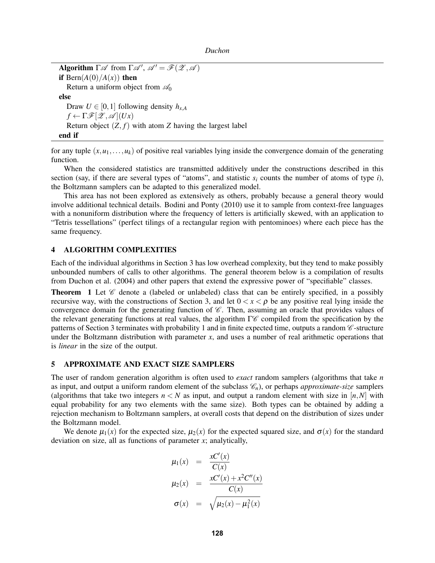Algorithm  $\Gamma \mathscr{A}$  from  $\Gamma \mathscr{A}', \mathscr{A}' = \mathscr{F}(\mathscr{Z}, \mathscr{A})$ if  $\text{Bern}(A(0)/A(x))$  then Return a uniform object from  $\mathcal{A}_0$ else Draw  $U \in [0, 1]$  following density  $h_{x,A}$  $f \leftarrow \Gamma \mathscr{F}[\mathscr{Z}, \mathscr{A}](Ux)$ Return object  $(Z, f)$  with atom  $Z$  having the largest label end if

for any tuple  $(x, u_1, \ldots, u_k)$  of positive real variables lying inside the convergence domain of the generating function.

When the considered statistics are transmitted additively under the constructions described in this section (say, if there are several types of "atoms", and statistic  $s_i$  counts the number of atoms of type *i*), the Boltzmann samplers can be adapted to this generalized model.

This area has not been explored as extensively as others, probably because a general theory would involve additional technical details. Bodini and Ponty (2010) use it to sample from context-free languages with a nonuniform distribution where the frequency of letters is artificially skewed, with an application to "Tetris tessellations" (perfect tilings of a rectangular region with pentominoes) where each piece has the same frequency.

# 4 ALGORITHM COMPLEXITIES

Each of the individual algorithms in Section 3 has low overhead complexity, but they tend to make possibly unbounded numbers of calls to other algorithms. The general theorem below is a compilation of results from Duchon et al. (2004) and other papers that extend the expressive power of "specifiable" classes.

**Theorem 1** Let  $\mathscr C$  denote a (labeled or unlabeled) class that can be entirely specified, in a possibly recursive way, with the constructions of Section 3, and let  $0 < x < \rho$  be any positive real lying inside the convergence domain for the generating function of  $\mathscr C$ . Then, assuming an oracle that provides values of the relevant generating functions at real values, the algorithm  $\Gamma\mathscr{C}$  compiled from the specification by the patterns of Section 3 terminates with probability 1 and in finite expected time, outputs a random  $\mathscr C$ -structure under the Boltzmann distribution with parameter *x*, and uses a number of real arithmetic operations that is *linear* in the size of the output.

# 5 APPROXIMATE AND EXACT SIZE SAMPLERS

The user of random generation algorithm is often used to *exact* random samplers (algorithms that take *n* as input, and output a uniform random element of the subclass  $\mathcal{C}_n$ ), or perhaps *approximate-size* samplers (algorithms that take two integers  $n < N$  as input, and output a random element with size in [ $n, N$ ] with equal probability for any two elements with the same size). Both types can be obtained by adding a rejection mechanism to Boltzmann samplers, at overall costs that depend on the distribution of sizes under the Boltzmann model.

We denote  $\mu_1(x)$  for the expected size,  $\mu_2(x)$  for the expected squared size, and  $\sigma(x)$  for the standard deviation on size, all as functions of parameter *x*; analytically,

$$
\mu_1(x) = \frac{xC'(x)}{C(x)}
$$
  
\n
$$
\mu_2(x) = \frac{xC'(x) + x^2C''(x)}{C(x)}
$$
  
\n
$$
\sigma(x) = \sqrt{\mu_2(x) - \mu_1^2(x)}
$$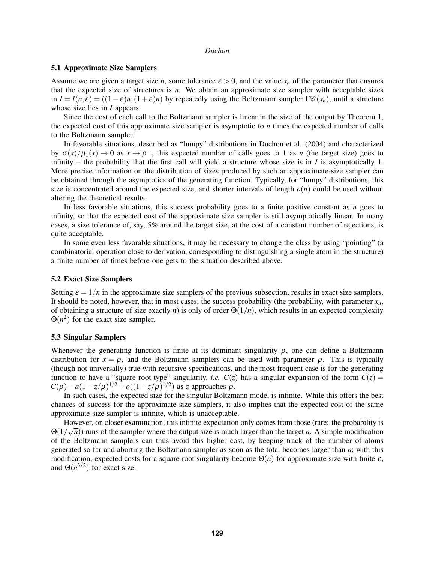## 5.1 Approximate Size Samplers

Assume we are given a target size *n*, some tolerance  $\varepsilon > 0$ , and the value  $x_n$  of the parameter that ensures that the expected size of structures is *n*. We obtain an approximate size sampler with acceptable sizes in  $I = I(n, \varepsilon) = ((1 - \varepsilon)n$ ,  $(1 + \varepsilon)n$  by repeatedly using the Boltzmann sampler  $\Gamma \mathcal{C}(x_n)$ , until a structure whose size lies in *I* appears.

Since the cost of each call to the Boltzmann sampler is linear in the size of the output by Theorem 1, the expected cost of this approximate size sampler is asymptotic to *n* times the expected number of calls to the Boltzmann sampler.

In favorable situations, described as "lumpy" distributions in Duchon et al. (2004) and characterized by  $\sigma(x)/\mu_1(x) \to 0$  as  $x \to \rho^-$ , this expected number of calls goes to 1 as *n* (the target size) goes to infinity – the probability that the first call will yield a structure whose size is in *I* is asymptotically 1. More precise information on the distribution of sizes produced by such an approximate-size sampler can be obtained through the asymptotics of the generating function. Typically, for "lumpy" distributions, this size is concentrated around the expected size, and shorter intervals of length  $o(n)$  could be used without altering the theoretical results.

In less favorable situations, this success probability goes to a finite positive constant as *n* goes to infinity, so that the expected cost of the approximate size sampler is still asymptotically linear. In many cases, a size tolerance of, say, 5% around the target size, at the cost of a constant number of rejections, is quite acceptable.

In some even less favorable situations, it may be necessary to change the class by using "pointing" (a combinatorial operation close to derivation, corresponding to distinguishing a single atom in the structure) a finite number of times before one gets to the situation described above.

### 5.2 Exact Size Samplers

Setting  $\varepsilon = 1/n$  in the approximate size samplers of the previous subsection, results in exact size samplers. It should be noted, however, that in most cases, the success probability (the probability, with parameter  $x_n$ , of obtaining a structure of size exactly *n*) is only of order  $\Theta(1/n)$ , which results in an expected complexity  $\Theta(n^2)$  for the exact size sampler.

#### 5.3 Singular Samplers

Whenever the generating function is finite at its dominant singularity  $\rho$ , one can define a Boltzmann distribution for  $x = \rho$ , and the Boltzmann samplers can be used with parameter  $\rho$ . This is typically (though not universally) true with recursive specifications, and the most frequent case is for the generating function to have a "square root-type" singularity, *i.e.*  $C(z)$  has a singular expansion of the form  $C(z)$  =  $C(\rho) + a(1 - z/\rho)^{1/2} + o((1 - z/\rho)^{1/2})$  as *z* approaches  $\rho$ .

In such cases, the expected size for the singular Boltzmann model is infinite. While this offers the best chances of success for the approximate size samplers, it also implies that the expected cost of the same approximate size sampler is infinite, which is unacceptable.

However, on closer examination, this infinite expectation only comes from those (rare: the probability is  $\langle \overline{\mathcal{L}} \rangle$ )  $\Theta(1/\sqrt{n})$ ) runs of the sampler where the output size is much larger than the target *n*. A simple modification of the Boltzmann samplers can thus avoid this higher cost, by keeping track of the number of atoms generated so far and aborting the Boltzmann sampler as soon as the total becomes larger than *n*; with this modification, expected costs for a square root singularity become  $\Theta(n)$  for approximate size with finite  $\varepsilon$ , and  $\Theta(n^{3/2})$  for exact size.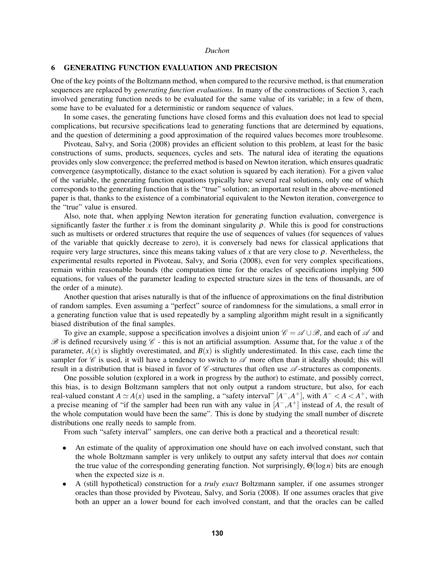### 6 GENERATING FUNCTION EVALUATION AND PRECISION

One of the key points of the Boltzmann method, when compared to the recursive method, is that enumeration sequences are replaced by *generating function evaluations*. In many of the constructions of Section 3, each involved generating function needs to be evaluated for the same value of its variable; in a few of them, some have to be evaluated for a deterministic or random sequence of values.

In some cases, the generating functions have closed forms and this evaluation does not lead to special complications, but recursive specifications lead to generating functions that are determined by equations, and the question of determining a good approximation of the required values becomes more troublesome.

Pivoteau, Salvy, and Soria (2008) provides an efficient solution to this problem, at least for the basic constructions of sums, products, sequences, cycles and sets. The natural idea of iterating the equations provides only slow convergence; the preferred method is based on Newton iteration, which ensures quadratic convergence (asymptotically, distance to the exact solution is squared by each iteration). For a given value of the variable, the generating function equations typically have several real solutions, only one of which corresponds to the generating function that is the "true" solution; an important result in the above-mentioned paper is that, thanks to the existence of a combinatorial equivalent to the Newton iteration, convergence to the "true" value is ensured.

Also, note that, when applying Newton iteration for generating function evaluation, convergence is significantly faster the further x is from the dominant singularity  $\rho$ . While this is good for constructions such as multisets or ordered structures that require the use of sequences of values (for sequences of values of the variable that quickly decrease to zero), it is conversely bad news for classical applications that require very large structures, since this means taking values of x that are very close to  $\rho$ . Nevertheless, the experimental results reported in Pivoteau, Salvy, and Soria (2008), even for very complex specifications, remain within reasonable bounds (the computation time for the oracles of specifications implying 500 equations, for values of the parameter leading to expected structure sizes in the tens of thousands, are of the order of a minute).

Another question that arises naturally is that of the influence of approximations on the final distribution of random samples. Even assuming a "perfect" source of randomness for the simulations, a small error in a generating function value that is used repeatedly by a sampling algorithm might result in a significantly biased distribution of the final samples.

To give an example, suppose a specification involves a disjoint union  $\mathscr{C} = \mathscr{A} \cup \mathscr{B}$ , and each of  $\mathscr{A}$  and  $\mathscr B$  is defined recursively using  $\mathscr C$  - this is not an artificial assumption. Assume that, for the value x of the parameter,  $A(x)$  is slightly overestimated, and  $B(x)$  is slightly underestimated. In this case, each time the sampler for  $\mathscr C$  is used, it will have a tendency to switch to  $\mathscr A$  more often than it ideally should; this will result in a distribution that is biased in favor of  $\mathscr C$ -structures that often use  $\mathscr A$ -structures as components.

One possible solution (explored in a work in progress by the author) to estimate, and possibly correct, this bias, is to design Boltzmann samplers that not only output a random structure, but also, for each real-valued constant  $A \simeq A(x)$  used in the sampling, a "safety interval"  $[A^-, A^+]$ , with  $A^- < A < A^+$ , with a precise meaning of "if the sampler had been run with any value in  $[A^-, A^+]$  instead of *A*, the result of the whole computation would have been the same". This is done by studying the small number of discrete distributions one really needs to sample from.

From such "safety interval" samplers, one can derive both a practical and a theoretical result:

- An estimate of the quality of approximation one should have on each involved constant, such that the whole Boltzmann sampler is very unlikely to output any safety interval that does *not* contain the true value of the corresponding generating function. Not surprisingly, Θ(log*n*) bits are enough when the expected size is *n*.
- A (still hypothetical) construction for a *truly exact* Boltzmann sampler, if one assumes stronger oracles than those provided by Pivoteau, Salvy, and Soria (2008). If one assumes oracles that give both an upper an a lower bound for each involved constant, and that the oracles can be called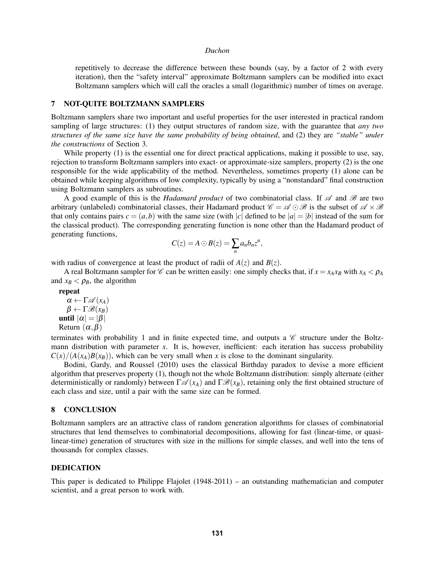repetitively to decrease the difference between these bounds (say, by a factor of 2 with every iteration), then the "safety interval" approximate Boltzmann samplers can be modified into exact Boltzmann samplers which will call the oracles a small (logarithmic) number of times on average.

# 7 NOT-QUITE BOLTZMANN SAMPLERS

Boltzmann samplers share two important and useful properties for the user interested in practical random sampling of large structures: (1) they output structures of random size, with the guarantee that *any two structures of the same size have the same probability of being obtained*, and (2) they are *"stable" under the constructions* of Section 3.

While property (1) is the essential one for direct practical applications, making it possible to use, say, rejection to transform Boltzmann samplers into exact- or approximate-size samplers, property (2) is the one responsible for the wide applicability of the method. Nevertheless, sometimes property (1) alone can be obtained while keeping algorithms of low complexity, typically by using a "nonstandard" final construction using Boltzmann samplers as subroutines.

A good example of this is the *Hadamard product* of two combinatorial class. If  $\mathscr A$  and  $\mathscr B$  are two arbitrary (unlabeled) combinatorial classes, their Hadamard product  $\mathscr{C} = \mathscr{A} \odot \mathscr{B}$  is the subset of  $\mathscr{A} \times \mathscr{B}$ that only contains pairs  $c = (a, b)$  with the same size (with |*c*| defined to be  $|a| = |b|$  instead of the sum for the classical product). The corresponding generating function is none other than the Hadamard product of generating functions,

$$
C(z) = A \odot B(z) = \sum_n a_n b_n z^n,
$$

with radius of convergence at least the product of radii of  $A(z)$  and  $B(z)$ .

A real Boltzmann sampler for C can be written easily: one simply checks that, if  $x = x_A x_B$  with  $x_A < \rho_A$ and  $x_B < \rho_B$ , the algorithm

```
repeat
    \alpha \leftarrow \Gamma \mathscr{A}(x_A)β ← Γ\mathscr{B}(x_B)until |\alpha| = |\beta|Return (\alpha, \beta)
```
terminates with probability 1 and in finite expected time, and outputs a  $\mathscr C$  structure under the Boltzmann distribution with parameter *x*. It is, however, inefficient: each iteration has success probability  $C(x)/(A(x_A)B(x_B))$ , which can be very small when *x* is close to the dominant singularity.

Bodini, Gardy, and Roussel (2010) uses the classical Birthday paradox to devise a more efficient algorithm that preserves property (1), though not the whole Boltzmann distribution: simply alternate (either deterministically or randomly) between  $\Gamma \mathscr{A}(x_A)$  and  $\Gamma \mathscr{B}(x_B)$ , retaining only the first obtained structure of each class and size, until a pair with the same size can be formed.

#### 8 CONCLUSION

Boltzmann samplers are an attractive class of random generation algorithms for classes of combinatorial structures that lend themselves to combinatorial decompositions, allowing for fast (linear-time, or quasilinear-time) generation of structures with size in the millions for simple classes, and well into the tens of thousands for complex classes.

## DEDICATION

This paper is dedicated to Philippe Flajolet (1948-2011) – an outstanding mathematician and computer scientist, and a great person to work with.